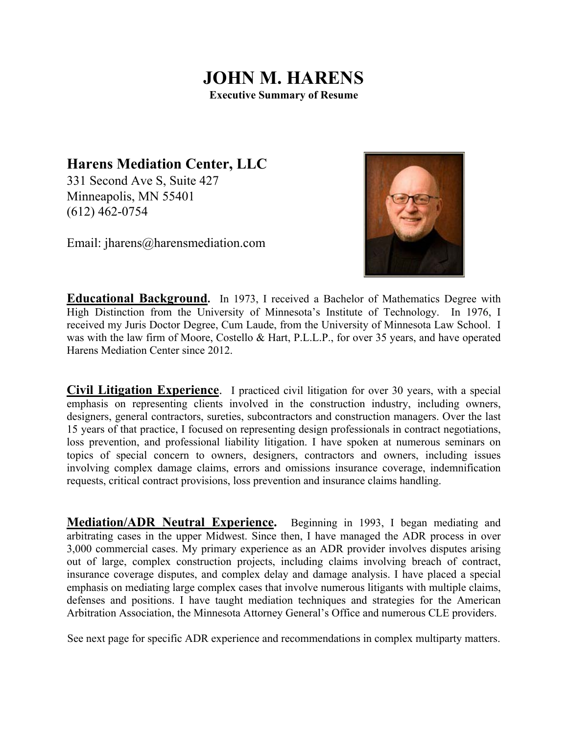## **JOHN M. HARENS Executive Summary of Resume**

**Harens Mediation Center, LLC** 

331 Second Ave S, Suite 427 Minneapolis, MN 55401 (612) 462-0754

Email: jharens@harensmediation.com



**Educational Background.** In 1973, I received a Bachelor of Mathematics Degree with High Distinction from the University of Minnesota's Institute of Technology. In 1976, I received my Juris Doctor Degree, Cum Laude, from the University of Minnesota Law School. I was with the law firm of Moore, Costello & Hart, P.L.L.P., for over 35 years, and have operated Harens Mediation Center since 2012.

**Civil Litigation Experience**. I practiced civil litigation for over 30 years, with a special emphasis on representing clients involved in the construction industry, including owners, designers, general contractors, sureties, subcontractors and construction managers. Over the last 15 years of that practice, I focused on representing design professionals in contract negotiations, loss prevention, and professional liability litigation. I have spoken at numerous seminars on topics of special concern to owners, designers, contractors and owners, including issues involving complex damage claims, errors and omissions insurance coverage, indemnification requests, critical contract provisions, loss prevention and insurance claims handling.

**Mediation/ADR Neutral Experience.** Beginning in 1993, I began mediating and arbitrating cases in the upper Midwest. Since then, I have managed the ADR process in over 3,000 commercial cases. My primary experience as an ADR provider involves disputes arising out of large, complex construction projects, including claims involving breach of contract, insurance coverage disputes, and complex delay and damage analysis. I have placed a special emphasis on mediating large complex cases that involve numerous litigants with multiple claims, defenses and positions. I have taught mediation techniques and strategies for the American Arbitration Association, the Minnesota Attorney General's Office and numerous CLE providers.

See next page for specific ADR experience and recommendations in complex multiparty matters.